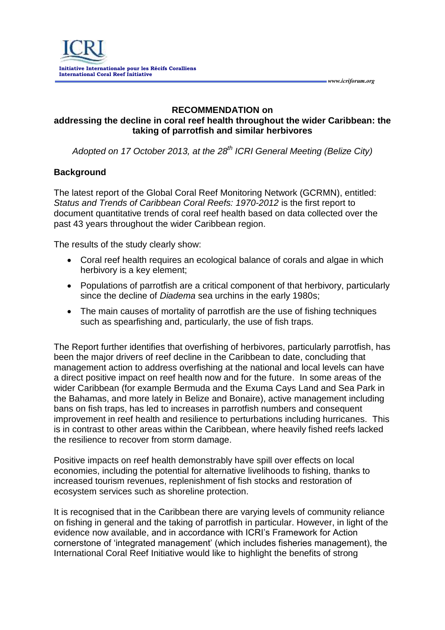## **RECOMMENDATION on**

 *www.icriforum.org* 

## **addressing the decline in coral reef health throughout the wider Caribbean: the taking of parrotfish and similar herbivores**

*Adopted on 17 October 2013, at the 28th ICRI General Meeting (Belize City)*

## **Background**

The latest report of the Global Coral Reef Monitoring Network (GCRMN), entitled: *Status and Trends of Caribbean Coral Reefs: 1970-2012* is the first report to document quantitative trends of coral reef health based on data collected over the past 43 years throughout the wider Caribbean region.

The results of the study clearly show:

- Coral reef health requires an ecological balance of corals and algae in which herbivory is a key element;
- Populations of parrotfish are a critical component of that herbivory, particularly since the decline of *Diadema* sea urchins in the early 1980s;
- The main causes of mortality of parrotfish are the use of fishing techniques such as spearfishing and, particularly, the use of fish traps.

The Report further identifies that overfishing of herbivores, particularly parrotfish, has been the major drivers of reef decline in the Caribbean to date, concluding that management action to address overfishing at the national and local levels can have a direct positive impact on reef health now and for the future. In some areas of the wider Caribbean (for example Bermuda and the Exuma Cays Land and Sea Park in the Bahamas, and more lately in Belize and Bonaire), active management including bans on fish traps, has led to increases in parrotfish numbers and consequent improvement in reef health and resilience to perturbations including hurricanes. This is in contrast to other areas within the Caribbean, where heavily fished reefs lacked the resilience to recover from storm damage.

Positive impacts on reef health demonstrably have spill over effects on local economies, including the potential for alternative livelihoods to fishing, thanks to increased tourism revenues, replenishment of fish stocks and restoration of ecosystem services such as shoreline protection.

It is recognised that in the Caribbean there are varying levels of community reliance on fishing in general and the taking of parrotfish in particular. However, in light of the evidence now available, and in accordance with ICRI's Framework for Action cornerstone of 'integrated management' (which includes fisheries management), the International Coral Reef Initiative would like to highlight the benefits of strong